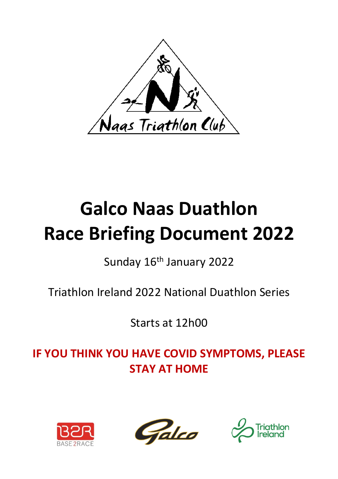

# **Galco Naas Duathlon Race Briefing Document 2022**

### Sunday 16<sup>th</sup> January 2022

Triathlon Ireland 2022 National Duathlon Series

Starts at 12h00

**IF YOU THINK YOU HAVE COVID SYMPTOMS, PLEASE STAY AT HOME**





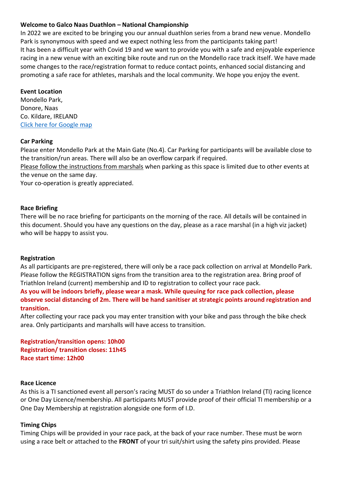#### **Welcome to Galco Naas Duathlon – National Championship**

In 2022 we are excited to be bringing you our annual duathlon series from a brand new venue. Mondello Park is synonymous with speed and we expect nothing less from the participants taking part! It has been a difficult year with Covid 19 and we want to provide you with a safe and enjoyable experience racing in a new venue with an exciting bike route and run on the Mondello race track itself. We have made some changes to the race/registration format to reduce contact points, enhanced social distancing and promoting a safe race for athletes, marshals and the local community. We hope you enjoy the event.

#### **Event Location**

Mondello Park, Donore, Naas Co. Kildare, IRELAND [Click here for Google map](https://goo.gl/maps/QderNsxk9uN1Hhj29)

#### **Car Parking**

Please enter Mondello Park at the Main Gate (No.4). Car Parking for participants will be available close to the transition/run areas. There will also be an overflow carpark if required.

Please follow the instructions from marshals when parking as this space is limited due to other events at the venue on the same day.

Your co-operation is greatly appreciated.

#### **Race Briefing**

There will be no race briefing for participants on the morning of the race. All details will be contained in this document. Should you have any questions on the day, please as a race marshal (in a high viz jacket) who will be happy to assist you.

#### **Registration**

As all participants are pre-registered, there will only be a race pack collection on arrival at Mondello Park. Please follow the REGISTRATION signs from the transition area to the registration area. Bring proof of Triathlon Ireland (current) membership and ID to registration to collect your race pack.

**As you will be indoors briefly, please wear a mask. While queuing for race pack collection, please observe social distancing of 2m. There will be hand sanitiser at strategic points around registration and transition.**

After collecting your race pack you may enter transition with your bike and pass through the bike check area. Only participants and marshalls will have access to transition.

**Registration/transition opens: 10h00 Registration/ transition closes: 11h45 Race start time: 12h00**

#### **Race Licence**

As this is a TI sanctioned event all person's racing MUST do so under a Triathlon Ireland (TI) racing licence or One Day Licence/membership. All participants MUST provide proof of their official TI membership or a One Day Membership at registration alongside one form of I.D.

#### **Timing Chips**

Timing Chips will be provided in your race pack, at the back of your race number. These must be worn using a race belt or attached to the **FRONT** of your tri suit/shirt using the safety pins provided. Please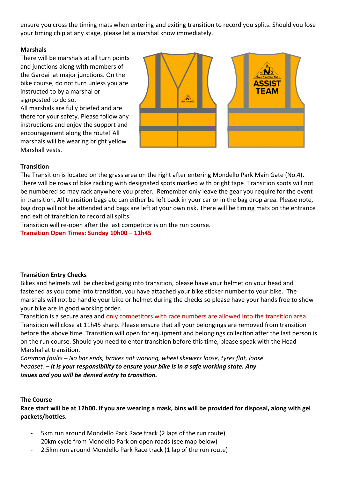ensure you cross the timing mats when entering and exiting transition to record you splits. Should you lose your timing chip at any stage, please let a marshal know immediately.

#### **Marshals**

There will be marshals at all turn points and junctions along with members of the Gardai at major junctions. On the bike course, do not turn unless you are instructed to by a marshal or signposted to do so.

All marshals are fully briefed and are there for your safety. Please follow any instructions and enjoy the support and encouragement along the route! All marshals will be wearing bright yellow Marshall vests.



#### **Transition**

The Transition is located on the grass area on the right after entering Mondello Park Main Gate (No.4). There will be rows of bike racking with designated spots marked with bright tape. Transition spots will not be numbered so may rack anywhere you prefer. Remember only leave the gear you require for the event in transition. All transition bags etc can either be left back in your car or in the bag drop area. Please note, bag drop will not be attended and bags are left at your own risk. There will be timing mats on the entrance and exit of transition to record all splits.

Transition will re-open after the last competitor is on the run course.

**Transition Open Times: Sunday 10h00 – 11h45**

#### **Transition Entry Checks**

Bikes and helmets will be checked going into transition, please have your helmet on your head and fastened as you come into transition, you have attached your bike sticker number to your bike. The marshals will not be handle your bike or helmet during the checks so please have your hands free to show your bike are in good working order.

Transition is a secure area and only competitors with race numbers are allowed into the transition area. Transition will close at 11h45 sharp. Please ensure that all your belongings are removed from transition before the above time. Transition will open for equipment and belongings collection after the last person is on the run course. Should you need to enter transition before this time, please speak with the Head Marshal at transition.

*Common faults – No bar ends, brakes not working, wheel skewers loose, tyres flat, loose headset. – It is your responsibility to ensure your bike is in a safe working state. Any issues and you will be denied entry to transition.*

#### **The Course**

**Race start will be at 12h00. If you are wearing a mask, bins will be provided for disposal, along with gel packets/bottles.**

- 5km run around Mondello Park Race track (2 laps of the run route)
- 20km cycle from Mondello Park on open roads (see map below)
- 2.5km run around Mondello Park Race track (1 lap of the run route)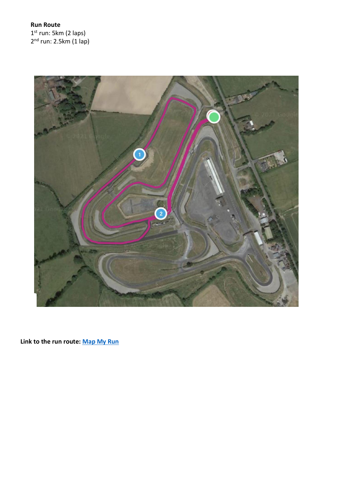**Run Route** 1<sup>st</sup> run: 5km (2 laps) 2<sup>nd</sup> run: 2.5km (1 lap)



**Link to the run route: [Map My Run](https://www.mapmyrun.com/routes/view/4803453427)**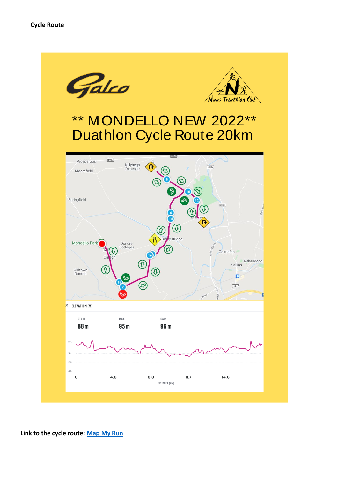

**Link to the cycle route: [Map My Run](https://www.mapmyrun.com/routes/view/4795786009)**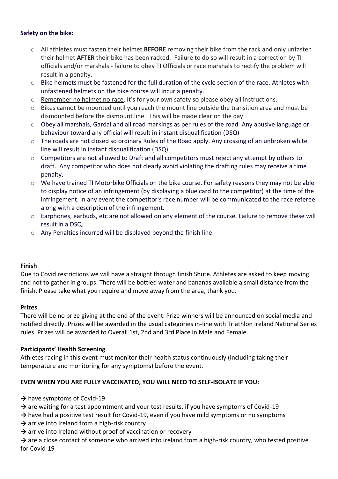#### **Safety on the bike:**

- o All athletes must fasten their helmet **BEFORE** removing their bike from the rack and only unfasten their helmet **AFTER** their bike has been racked. Failure to do so will result in a correction by TI officials and/or marshals - failure to obey TI Officials or race marshals to rectify the problem will result in a penalty.
- o Bike helmets must be fastened for the full duration of the cycle section of the race. Athletes with unfastened helmets on the bike course will incur a penalty.
- o Remember no helmet no race. It's for your own safety so please obey all instructions.
- o Bikes cannot be mounted until you reach the mount line outside the transition area and must be dismounted before the dismount line. This will be made clear on the day.
- o Obey all marshals, Gardai and all road markings as per rules of the road. Any abusive language or behaviour toward any official will result in instant disqualification (DSQ)
- o The roads are not closed so ordinary Rules of the Road apply. Any crossing of an unbroken white line will result in instant disqualification (DSQ).
- $\circ$  Competitors are not allowed to Draft and all competitors must reject any attempt by others to draft. Any competitor who does not clearly avoid violating the drafting rules may receive a time penalty.
- o We have trained TI Motorbike Officials on the bike course. For safety reasons they may not be able to display notice of an infringement (by displaying a blue card to the competitor) at the time of the infringement. In any event the competitor's race number will be communicated to the race referee along with a description of the infringement.
- o Earphones, earbuds, etc are not allowed on any element of the course. Failure to remove these will result in a DSQ.
- o Any Penalties incurred will be displayed beyond the finish line

#### **Finish**

Due to Covid restrictions we will have a straight through finish Shute. Athletes are asked to keep moving and not to gather in groups. There will be bottled water and bananas available a small distance from the finish. Please take what you require and move away from the area, thank you.

#### **Prizes**

There will be no prize giving at the end of the event. Prize winners will be announced on social media and notified directly. Prizes will be awarded in the usual categories in-line with Triathlon Ireland National Series rules. Prizes will be awarded to Overall 1st, 2nd and 3rd Place in Male and Female.

#### **Participants' Health Screening**

Athletes racing in this event must monitor their health status continuously (including taking their temperature and monitoring for any symptoms) before the event.

#### **EVEN WHEN YOU ARE FULLY VACCINATED, YOU WILL NEED TO SELF-ISOLATE IF YOU:**

- → have symptoms of Covid-19
- → are waiting for a test appointment and your test results, if you have symptoms of Covid-19
- → have had a positive test result for Covid-19, even if you have mild symptoms or no symptoms
- → arrive into Ireland from a high-risk country
- **→** arrive into Ireland without proof of vaccination or recovery
- → are a close contact of someone who arrived into Ireland from a high-risk country, who tested positive for Covid-19